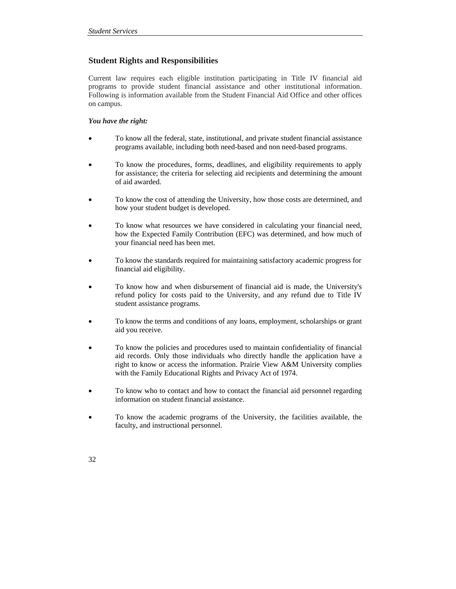# **Student Rights and Responsibilities**

Current law requires each eligible institution participating in Title IV financial aid programs to provide student financial assistance and other institutional information. Following is information available from the Student Financial Aid Office and other offices on campus.

## *You have the right:*

- To know all the federal, state, institutional, and private student financial assistance programs available, including both need-based and non need-based programs.
- To know the procedures, forms, deadlines, and eligibility requirements to apply for assistance; the criteria for selecting aid recipients and determining the amount of aid awarded.
- To know the cost of attending the University, how those costs are determined, and how your student budget is developed.
- To know what resources we have considered in calculating your financial need, how the Expected Family Contribution (EFC) was determined, and how much of your financial need has been met.
- To know the standards required for maintaining satisfactory academic progress for financial aid eligibility.
- To know how and when disbursement of financial aid is made, the University's refund policy for costs paid to the University, and any refund due to Title IV student assistance programs.
- To know the terms and conditions of any loans, employment, scholarships or grant aid you receive.
- To know the policies and procedures used to maintain confidentiality of financial aid records. Only those individuals who directly handle the application have a right to know or access the information. Prairie View A&M University complies with the Family Educational Rights and Privacy Act of 1974.
- To know who to contact and how to contact the financial aid personnel regarding information on student financial assistance.
- To know the academic programs of the University, the facilities available, the faculty, and instructional personnel.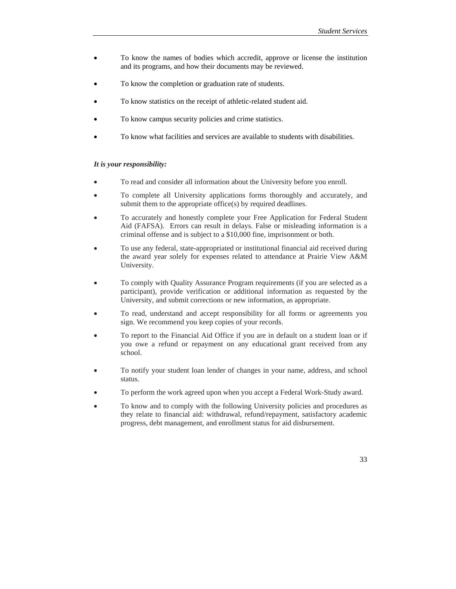- To know the names of bodies which accredit, approve or license the institution and its programs, and how their documents may be reviewed.
- To know the completion or graduation rate of students.
- To know statistics on the receipt of athletic-related student aid.
- To know campus security policies and crime statistics.
- To know what facilities and services are available to students with disabilities.

#### *It is your responsibility:*

- To read and consider all information about the University before you enroll.
- To complete all University applications forms thoroughly and accurately, and submit them to the appropriate office(s) by required deadlines.
- To accurately and honestly complete your Free Application for Federal Student Aid (FAFSA). Errors can result in delays. False or misleading information is a criminal offense and is subject to a \$10,000 fine, imprisonment or both.
- To use any federal, state-appropriated or institutional financial aid received during the award year solely for expenses related to attendance at Prairie View A&M University.
- To comply with Quality Assurance Program requirements (if you are selected as a participant), provide verification or additional information as requested by the University, and submit corrections or new information, as appropriate.
- To read, understand and accept responsibility for all forms or agreements you sign. We recommend you keep copies of your records.
- To report to the Financial Aid Office if you are in default on a student loan or if you owe a refund or repayment on any educational grant received from any school.
- To notify your student loan lender of changes in your name, address, and school status.
- To perform the work agreed upon when you accept a Federal Work-Study award.
- To know and to comply with the following University policies and procedures as they relate to financial aid: withdrawal, refund/repayment, satisfactory academic progress, debt management, and enrollment status for aid disbursement.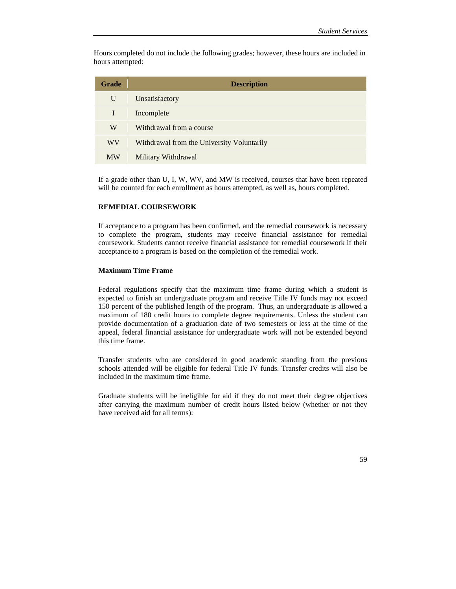Hours completed do not include the following grades; however, these hours are included in hours attempted:

| <b>Grade</b> | <b>Description</b>                         |
|--------------|--------------------------------------------|
| U            | Unsatisfactory                             |
| I            | Incomplete                                 |
| W            | Withdrawal from a course                   |
| WV           | Withdrawal from the University Voluntarily |
| <b>MW</b>    | Military Withdrawal                        |

If a grade other than U, I, W, WV, and MW is received, courses that have been repeated will be counted for each enrollment as hours attempted, as well as, hours completed.

### **REMEDIAL COURSEWORK**

If acceptance to a program has been confirmed, and the remedial coursework is necessary to complete the program, students may receive financial assistance for remedial coursework. Students cannot receive financial assistance for remedial coursework if their acceptance to a program is based on the completion of the remedial work.

#### **Maximum Time Frame**

Federal regulations specify that the maximum time frame during which a student is expected to finish an undergraduate program and receive Title IV funds may not exceed 150 percent of the published length of the program. Thus, an undergraduate is allowed a maximum of 180 credit hours to complete degree requirements. Unless the student can provide documentation of a graduation date of two semesters or less at the time of the appeal, federal financial assistance for undergraduate work will not be extended beyond this time frame.

Transfer students who are considered in good academic standing from the previous schools attended will be eligible for federal Title IV funds. Transfer credits will also be included in the maximum time frame.

Graduate students will be ineligible for aid if they do not meet their degree objectives after carrying the maximum number of credit hours listed below (whether or not they have received aid for all terms):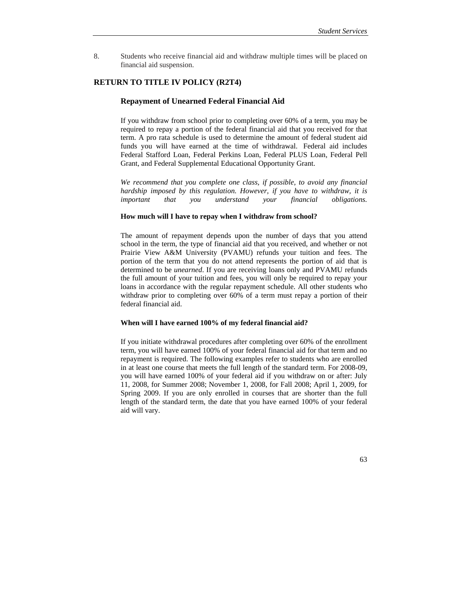8. Students who receive financial aid and withdraw multiple times will be placed on financial aid suspension.

## **RETURN TO TITLE IV POLICY (R2T4)**

#### **Repayment of Unearned Federal Financial Aid**

 If you withdraw from school prior to completing over 60% of a term, you may be required to repay a portion of the federal financial aid that you received for that term. A pro rata schedule is used to determine the amount of federal student aid funds you will have earned at the time of withdrawal. Federal aid includes Federal Stafford Loan, Federal Perkins Loan, Federal PLUS Loan, Federal Pell Grant, and Federal Supplemental Educational Opportunity Grant.

*We recommend that you complete one class, if possible, to avoid any financial hardship imposed by this regulation. However, if you have to withdraw, it is important that you understand your financial obligations.*

## **How much will I have to repay when I withdraw from school?**

 The amount of repayment depends upon the number of days that you attend school in the term, the type of financial aid that you received, and whether or not Prairie View A&M University (PVAMU) refunds your tuition and fees. The portion of the term that you do not attend represents the portion of aid that is determined to be *unearned*. If you are receiving loans only and PVAMU refunds the full amount of your tuition and fees, you will only be required to repay your loans in accordance with the regular repayment schedule. All other students who withdraw prior to completing over 60% of a term must repay a portion of their federal financial aid.

## **When will I have earned 100% of my federal financial aid?**

 If you initiate withdrawal procedures after completing over 60% of the enrollment term, you will have earned 100% of your federal financial aid for that term and no repayment is required. The following examples refer to students who are enrolled in at least one course that meets the full length of the standard term. For 2008-09, you will have earned 100% of your federal aid if you withdraw on or after: July 11, 2008, for Summer 2008; November 1, 2008, for Fall 2008; April 1, 2009, for Spring 2009. If you are only enrolled in courses that are shorter than the full length of the standard term, the date that you have earned 100% of your federal aid will vary.